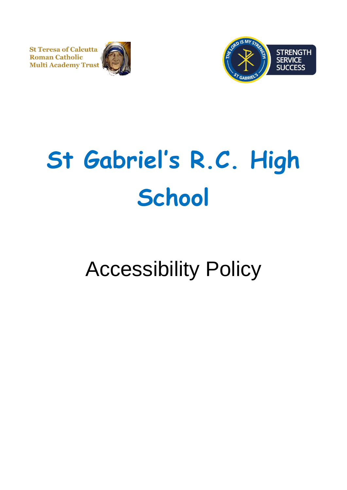**St Teresa of Calcutta Roman Catholic** Multi Academy Trust





# **St Gabriel's R.C. High School**

# Accessibility Policy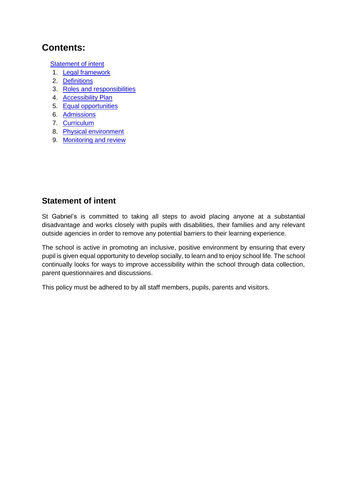# **Contents:**

[Statement of intent](#page-1-0)

- 1. [Legal framework](#page-2-0)
- 2. [Definitions](#page-2-1)
- 3. [Roles and responsibilities](#page-2-2)
- 4. [Accessibility Plan](#page-3-0)
- 5. [Equal opportunities](#page-4-0)
- 6. [Admissions](#page-4-1)
- 7. [Curriculum](#page-5-0)
- 8. [Physical environment](#page-5-1)
- <span id="page-1-0"></span>9. [Monitoring and review](#page-5-2)

#### **Statement of intent**

St Gabriel's is committed to taking all steps to avoid placing anyone at a substantial disadvantage and works closely with pupils with disabilities, their families and any relevant outside agencies in order to remove any potential barriers to their learning experience.

The school is active in promoting an inclusive, positive environment by ensuring that every pupil is given equal opportunity to develop socially, to learn and to enjoy school life. The school continually looks for ways to improve accessibility within the school through data collection, parent questionnaires and discussions.

This policy must be adhered to by all staff members, pupils, parents and visitors.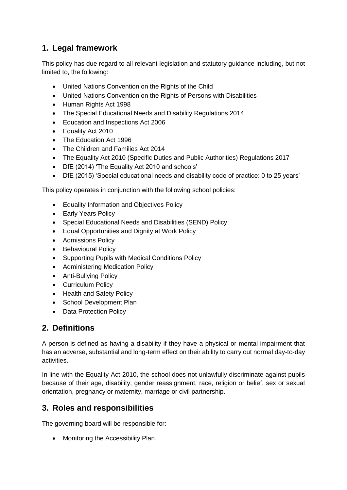# <span id="page-2-0"></span>**1. Legal framework**

This policy has due regard to all relevant legislation and statutory guidance including, but not limited to, the following:

- United Nations Convention on the Rights of the Child
- United Nations Convention on the Rights of Persons with Disabilities
- Human Rights Act 1998
- The Special Educational Needs and Disability Regulations 2014
- Education and Inspections Act 2006
- Equality Act 2010
- The Education Act 1996
- The Children and Families Act 2014
- The Equality Act 2010 (Specific Duties and Public Authorities) Regulations 2017
- DfE (2014) 'The Equality Act 2010 and schools'
- DfE (2015) 'Special educational needs and disability code of practice: 0 to 25 years'

This policy operates in conjunction with the following school policies:

- Equality Information and Objectives Policy
- Early Years Policy
- Special Educational Needs and Disabilities (SEND) Policy
- Equal Opportunities and Dignity at Work Policy
- Admissions Policy
- Behavioural Policy
- Supporting Pupils with Medical Conditions Policy
- Administering Medication Policy
- Anti-Bullying Policy
- Curriculum Policy
- Health and Safety Policy
- School Development Plan
- Data Protection Policy

#### <span id="page-2-1"></span>**2. Definitions**

A person is defined as having a disability if they have a physical or mental impairment that has an adverse, substantial and long-term effect on their ability to carry out normal day-to-day activities.

In line with the Equality Act 2010, the school does not unlawfully discriminate against pupils because of their age, disability, gender reassignment, race, religion or belief, sex or sexual orientation, pregnancy or maternity, marriage or civil partnership.

#### <span id="page-2-2"></span>**3. Roles and responsibilities**

The governing board will be responsible for:

• Monitoring the Accessibility Plan.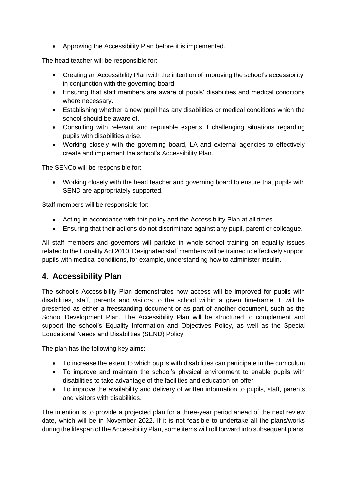• Approving the Accessibility Plan before it is implemented.

The head teacher will be responsible for:

- Creating an Accessibility Plan with the intention of improving the school's accessibility, in conjunction with the governing board
- Ensuring that staff members are aware of pupils' disabilities and medical conditions where necessary.
- Establishing whether a new pupil has any disabilities or medical conditions which the school should be aware of.
- Consulting with relevant and reputable experts if challenging situations regarding pupils with disabilities arise.
- Working closely with the governing board, LA and external agencies to effectively create and implement the school's Accessibility Plan.

The SENCo will be responsible for:

• Working closely with the head teacher and governing board to ensure that pupils with SEND are appropriately supported.

Staff members will be responsible for:

- Acting in accordance with this policy and the Accessibility Plan at all times.
- Ensuring that their actions do not discriminate against any pupil, parent or colleague.

All staff members and governors will partake in whole-school training on equality issues related to the Equality Act 2010. Designated staff members will be trained to effectively support pupils with medical conditions, for example, understanding how to administer insulin.

#### <span id="page-3-0"></span>**4. Accessibility Plan**

The school's Accessibility Plan demonstrates how access will be improved for pupils with disabilities, staff, parents and visitors to the school within a given timeframe. It will be presented as either a freestanding document or as part of another document, such as the School Development Plan. The Accessibility Plan will be structured to complement and support the school's Equality Information and Objectives Policy, as well as the Special Educational Needs and Disabilities (SEND) Policy.

The plan has the following key aims:

- To increase the extent to which pupils with disabilities can participate in the curriculum
- To improve and maintain the school's physical environment to enable pupils with disabilities to take advantage of the facilities and education on offer
- To improve the availability and delivery of written information to pupils, staff, parents and visitors with disabilities.

The intention is to provide a projected plan for a three-year period ahead of the next review date, which will be in November 2022. If it is not feasible to undertake all the plans/works during the lifespan of the Accessibility Plan, some items will roll forward into subsequent plans.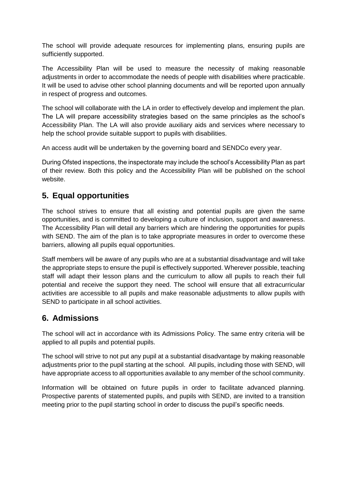The school will provide adequate resources for implementing plans, ensuring pupils are sufficiently supported.

The Accessibility Plan will be used to measure the necessity of making reasonable adjustments in order to accommodate the needs of people with disabilities where practicable. It will be used to advise other school planning documents and will be reported upon annually in respect of progress and outcomes.

The school will collaborate with the LA in order to effectively develop and implement the plan. The LA will prepare accessibility strategies based on the same principles as the school's Accessibility Plan. The LA will also provide auxiliary aids and services where necessary to help the school provide suitable support to pupils with disabilities.

An access audit will be undertaken by the governing board and SENDCo every year.

During Ofsted inspections, the inspectorate may include the school's Accessibility Plan as part of their review. Both this policy and the Accessibility Plan will be published on the school website.

#### <span id="page-4-0"></span>**5. Equal opportunities**

The school strives to ensure that all existing and potential pupils are given the same opportunities, and is committed to developing a culture of inclusion, support and awareness. The Accessibility Plan will detail any barriers which are hindering the opportunities for pupils with SEND. The aim of the plan is to take appropriate measures in order to overcome these barriers, allowing all pupils equal opportunities.

Staff members will be aware of any pupils who are at a substantial disadvantage and will take the appropriate steps to ensure the pupil is effectively supported. Wherever possible, teaching staff will adapt their lesson plans and the curriculum to allow all pupils to reach their full potential and receive the support they need. The school will ensure that all extracurricular activities are accessible to all pupils and make reasonable adjustments to allow pupils with SEND to participate in all school activities.

#### <span id="page-4-1"></span>**6. Admissions**

The school will act in accordance with its Admissions Policy. The same entry criteria will be applied to all pupils and potential pupils.

The school will strive to not put any pupil at a substantial disadvantage by making reasonable adjustments prior to the pupil starting at the school. All pupils, including those with SEND, will have appropriate access to all opportunities available to any member of the school community.

Information will be obtained on future pupils in order to facilitate advanced planning. Prospective parents of statemented pupils, and pupils with SEND, are invited to a transition meeting prior to the pupil starting school in order to discuss the pupil's specific needs.